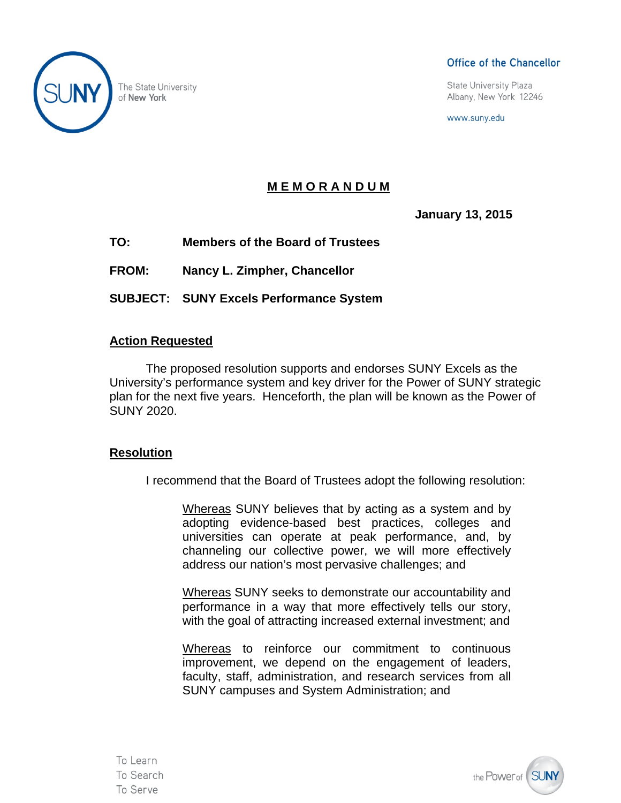

The State University of New York

#### Office of the Chancellor

State University Plaza Albany, New York 12246

www.suny.edu

# **M E M O R A N D U M**

**January 13, 2015** 

**TO: Members of the Board of Trustees** 

**FROM: Nancy L. Zimpher, Chancellor** 

**SUBJECT: SUNY Excels Performance System** 

## **Action Requested**

The proposed resolution supports and endorses SUNY Excels as the University's performance system and key driver for the Power of SUNY strategic plan for the next five years. Henceforth, the plan will be known as the Power of SUNY 2020.

## **Resolution**

I recommend that the Board of Trustees adopt the following resolution:

Whereas SUNY believes that by acting as a system and by adopting evidence-based best practices, colleges and universities can operate at peak performance, and, by channeling our collective power, we will more effectively address our nation's most pervasive challenges; and

Whereas SUNY seeks to demonstrate our accountability and performance in a way that more effectively tells our story, with the goal of attracting increased external investment; and

Whereas to reinforce our commitment to continuous improvement, we depend on the engagement of leaders, faculty, staff, administration, and research services from all SUNY campuses and System Administration; and

To Learn To Search To Serve

the Power of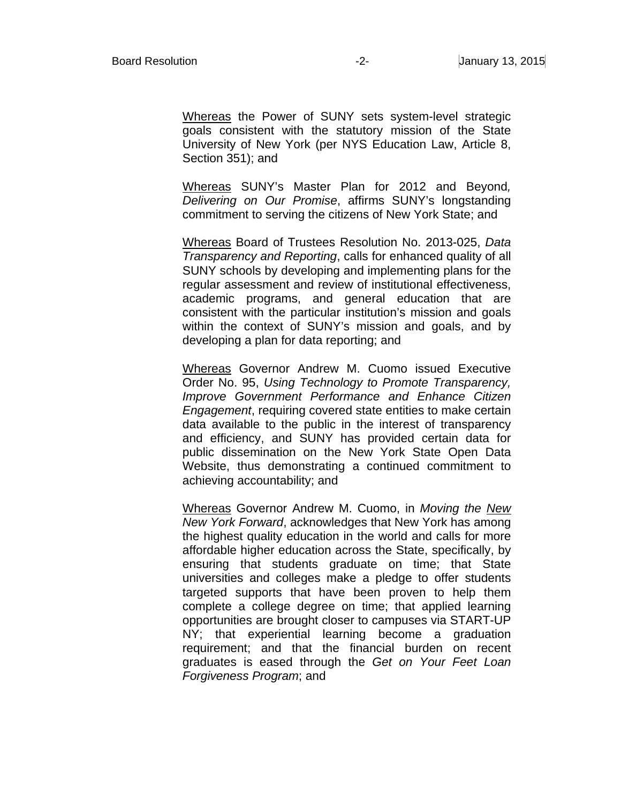Whereas the Power of SUNY sets system-level strategic goals consistent with the statutory mission of the State University of New York (per NYS Education Law, Article 8, Section 351); and

Whereas SUNY's Master Plan for 2012 and Beyond*, Delivering on Our Promise*, affirms SUNY's longstanding commitment to serving the citizens of New York State; and

Whereas Board of Trustees Resolution No. 2013-025, *Data Transparency and Reporting*, calls for enhanced quality of all SUNY schools by developing and implementing plans for the regular assessment and review of institutional effectiveness, academic programs, and general education that are consistent with the particular institution's mission and goals within the context of SUNY's mission and goals, and by developing a plan for data reporting; and

Whereas Governor Andrew M. Cuomo issued Executive Order No. 95, *Using Technology to Promote Transparency, Improve Government Performance and Enhance Citizen Engagement*, requiring covered state entities to make certain data available to the public in the interest of transparency and efficiency, and SUNY has provided certain data for public dissemination on the New York State Open Data Website, thus demonstrating a continued commitment to achieving accountability; and

Whereas Governor Andrew M. Cuomo, in *Moving the New New York Forward*, acknowledges that New York has among the highest quality education in the world and calls for more affordable higher education across the State, specifically, by ensuring that students graduate on time; that State universities and colleges make a pledge to offer students targeted supports that have been proven to help them complete a college degree on time; that applied learning opportunities are brought closer to campuses via START-UP NY; that experiential learning become a graduation requirement; and that the financial burden on recent graduates is eased through the *Get on Your Feet Loan Forgiveness Program*; and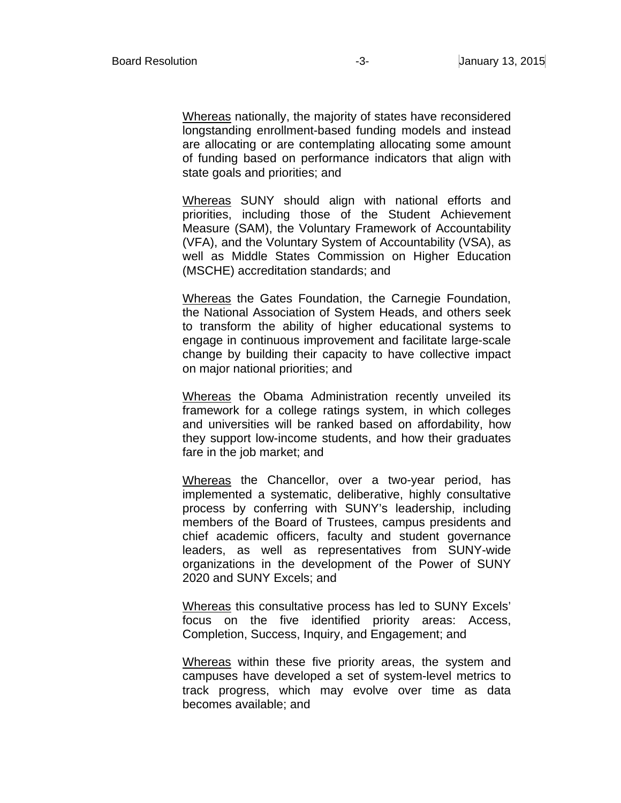Whereas nationally, the majority of states have reconsidered longstanding enrollment-based funding models and instead are allocating or are contemplating allocating some amount of funding based on performance indicators that align with state goals and priorities; and

Whereas SUNY should align with national efforts and priorities, including those of the Student Achievement Measure (SAM), the Voluntary Framework of Accountability (VFA), and the Voluntary System of Accountability (VSA), as well as Middle States Commission on Higher Education (MSCHE) accreditation standards; and

Whereas the Gates Foundation, the Carnegie Foundation, the National Association of System Heads, and others seek to transform the ability of higher educational systems to engage in continuous improvement and facilitate large-scale change by building their capacity to have collective impact on major national priorities; and

Whereas the Obama Administration recently unveiled its framework for a college ratings system, in which colleges and universities will be ranked based on affordability, how they support low-income students, and how their graduates fare in the job market; and

Whereas the Chancellor, over a two-year period, has implemented a systematic, deliberative, highly consultative process by conferring with SUNY's leadership, including members of the Board of Trustees, campus presidents and chief academic officers, faculty and student governance leaders, as well as representatives from SUNY-wide organizations in the development of the Power of SUNY 2020 and SUNY Excels; and

Whereas this consultative process has led to SUNY Excels' focus on the five identified priority areas: Access, Completion, Success, Inquiry, and Engagement; and

Whereas within these five priority areas, the system and campuses have developed a set of system-level metrics to track progress, which may evolve over time as data becomes available; and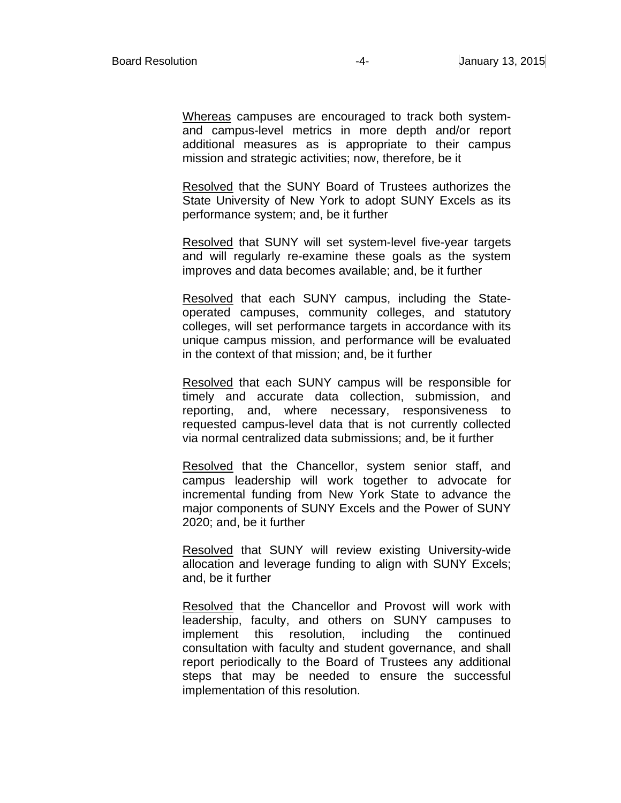Whereas campuses are encouraged to track both systemand campus-level metrics in more depth and/or report additional measures as is appropriate to their campus mission and strategic activities; now, therefore, be it

Resolved that the SUNY Board of Trustees authorizes the State University of New York to adopt SUNY Excels as its performance system; and, be it further

Resolved that SUNY will set system-level five-year targets and will regularly re-examine these goals as the system improves and data becomes available; and, be it further

Resolved that each SUNY campus, including the Stateoperated campuses, community colleges, and statutory colleges, will set performance targets in accordance with its unique campus mission, and performance will be evaluated in the context of that mission; and, be it further

Resolved that each SUNY campus will be responsible for timely and accurate data collection, submission, and reporting, and, where necessary, responsiveness to requested campus-level data that is not currently collected via normal centralized data submissions; and, be it further

Resolved that the Chancellor, system senior staff, and campus leadership will work together to advocate for incremental funding from New York State to advance the major components of SUNY Excels and the Power of SUNY 2020; and, be it further

Resolved that SUNY will review existing University-wide allocation and leverage funding to align with SUNY Excels; and, be it further

Resolved that the Chancellor and Provost will work with leadership, faculty, and others on SUNY campuses to implement this resolution, including the continued consultation with faculty and student governance, and shall report periodically to the Board of Trustees any additional steps that may be needed to ensure the successful implementation of this resolution.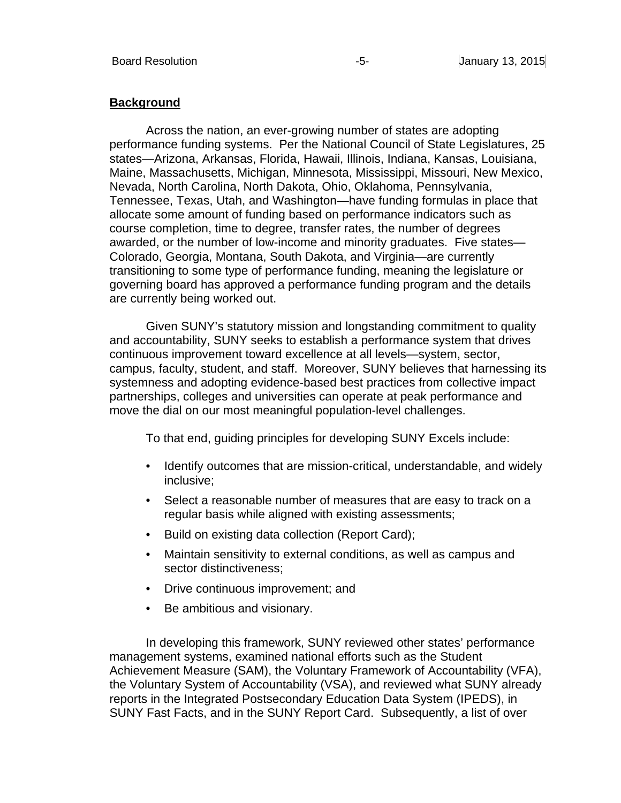#### **Background**

Across the nation, an ever-growing number of states are adopting performance funding systems. Per the National Council of State Legislatures, 25 states—Arizona, Arkansas, Florida, Hawaii, Illinois, Indiana, Kansas, Louisiana, Maine, Massachusetts, Michigan, Minnesota, Mississippi, Missouri, New Mexico, Nevada, North Carolina, North Dakota, Ohio, Oklahoma, Pennsylvania, Tennessee, Texas, Utah, and Washington—have funding formulas in place that allocate some amount of funding based on performance indicators such as course completion, time to degree, transfer rates, the number of degrees awarded, or the number of low-income and minority graduates. Five states— Colorado, Georgia, Montana, South Dakota, and Virginia—are currently transitioning to some type of performance funding, meaning the legislature or governing board has approved a performance funding program and the details are currently being worked out.

Given SUNY's statutory mission and longstanding commitment to quality and accountability, SUNY seeks to establish a performance system that drives continuous improvement toward excellence at all levels—system, sector, campus, faculty, student, and staff. Moreover, SUNY believes that harnessing its systemness and adopting evidence-based best practices from collective impact partnerships, colleges and universities can operate at peak performance and move the dial on our most meaningful population-level challenges.

To that end, guiding principles for developing SUNY Excels include:

- Identify outcomes that are mission-critical, understandable, and widely inclusive;
- Select a reasonable number of measures that are easy to track on a regular basis while aligned with existing assessments;
- Build on existing data collection (Report Card);
- Maintain sensitivity to external conditions, as well as campus and sector distinctiveness;
- Drive continuous improvement; and
- Be ambitious and visionary.

In developing this framework, SUNY reviewed other states' performance management systems, examined national efforts such as the Student Achievement Measure (SAM), the Voluntary Framework of Accountability (VFA), the Voluntary System of Accountability (VSA), and reviewed what SUNY already reports in the Integrated Postsecondary Education Data System (IPEDS), in SUNY Fast Facts, and in the SUNY Report Card. Subsequently, a list of over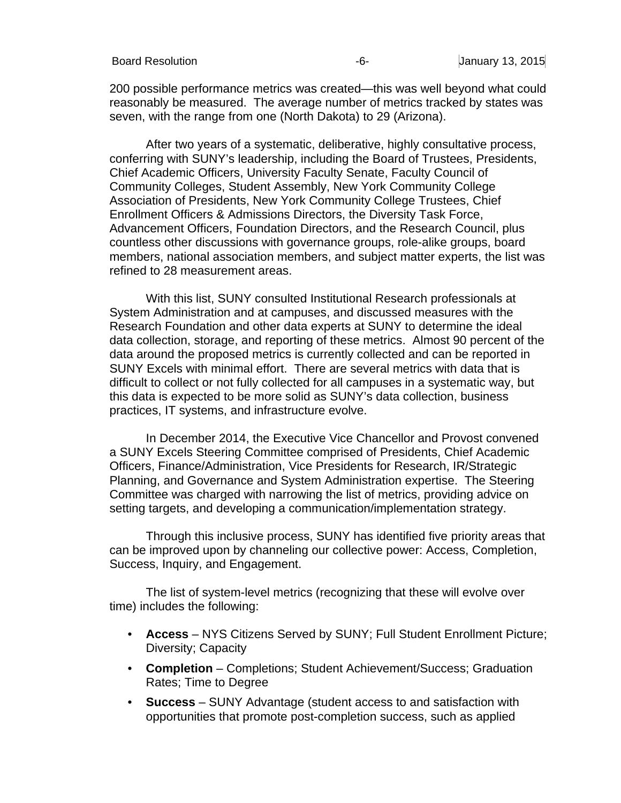200 possible performance metrics was created—this was well beyond what could reasonably be measured. The average number of metrics tracked by states was seven, with the range from one (North Dakota) to 29 (Arizona).

After two years of a systematic, deliberative, highly consultative process, conferring with SUNY's leadership, including the Board of Trustees, Presidents, Chief Academic Officers, University Faculty Senate, Faculty Council of Community Colleges, Student Assembly, New York Community College Association of Presidents, New York Community College Trustees, Chief Enrollment Officers & Admissions Directors, the Diversity Task Force, Advancement Officers, Foundation Directors, and the Research Council, plus countless other discussions with governance groups, role-alike groups, board members, national association members, and subject matter experts, the list was refined to 28 measurement areas.

With this list, SUNY consulted Institutional Research professionals at System Administration and at campuses, and discussed measures with the Research Foundation and other data experts at SUNY to determine the ideal data collection, storage, and reporting of these metrics. Almost 90 percent of the data around the proposed metrics is currently collected and can be reported in SUNY Excels with minimal effort. There are several metrics with data that is difficult to collect or not fully collected for all campuses in a systematic way, but this data is expected to be more solid as SUNY's data collection, business practices, IT systems, and infrastructure evolve.

In December 2014, the Executive Vice Chancellor and Provost convened a SUNY Excels Steering Committee comprised of Presidents, Chief Academic Officers, Finance/Administration, Vice Presidents for Research, IR/Strategic Planning, and Governance and System Administration expertise. The Steering Committee was charged with narrowing the list of metrics, providing advice on setting targets, and developing a communication/implementation strategy.

Through this inclusive process, SUNY has identified five priority areas that can be improved upon by channeling our collective power: Access, Completion, Success, Inquiry, and Engagement.

The list of system-level metrics (recognizing that these will evolve over time) includes the following:

- **Access** NYS Citizens Served by SUNY; Full Student Enrollment Picture; Diversity; Capacity
- **Completion** Completions; Student Achievement/Success; Graduation Rates; Time to Degree
- **Success** SUNY Advantage (student access to and satisfaction with opportunities that promote post-completion success, such as applied